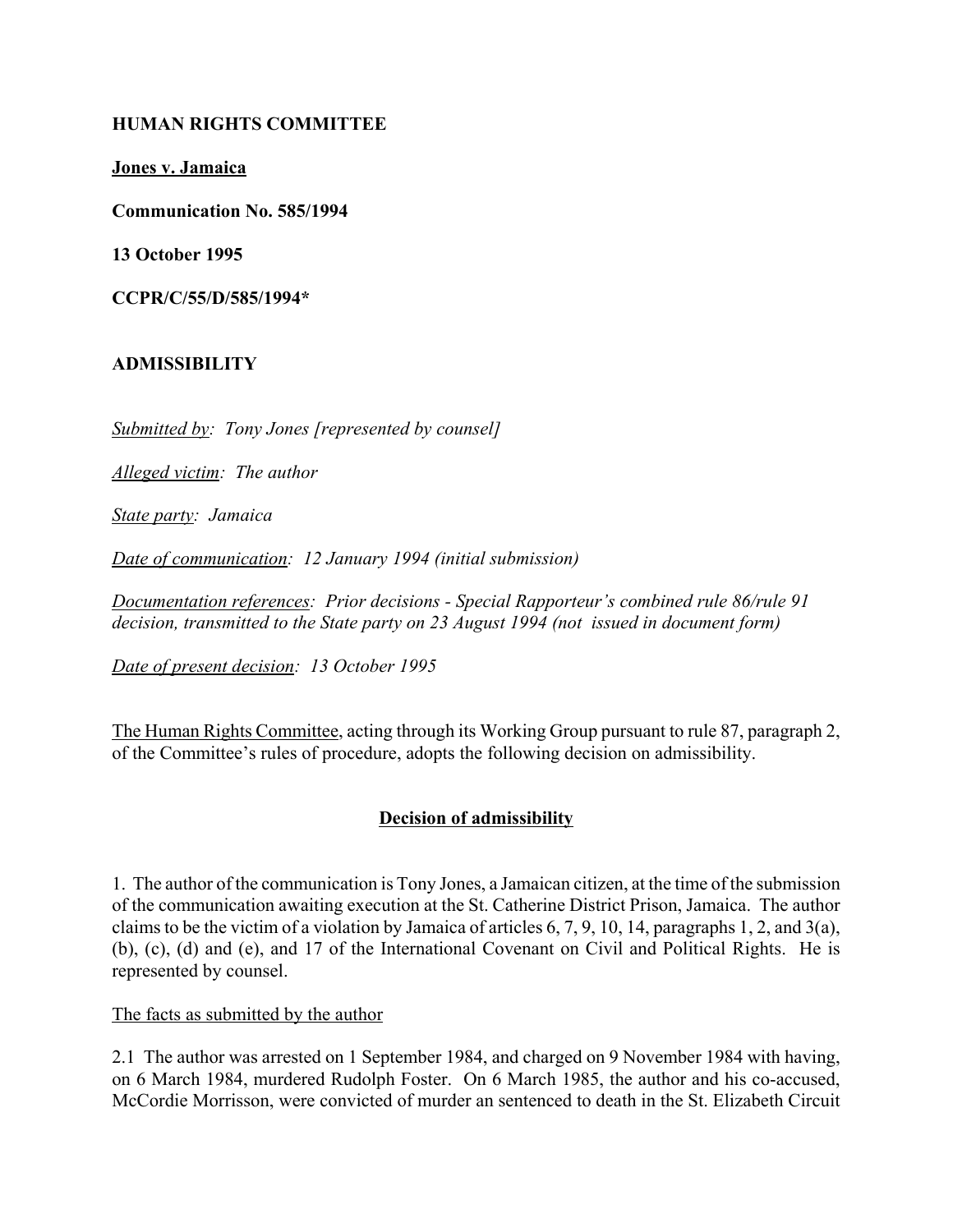### **HUMAN RIGHTS COMMITTEE**

**Jones v. Jamaica**

**Communication No. 585/1994**

**13 October 1995**

**CCPR/C/55/D/585/1994\***

### **ADMISSIBILITY**

*Submitted by: Tony Jones [represented by counsel]*

*Alleged victim: The author*

*State party: Jamaica*

*Date of communication: 12 January 1994 (initial submission)*

*Documentation references: Prior decisions - Special Rapporteur's combined rule 86/rule 91 decision, transmitted to the State party on 23 August 1994 (not issued in document form)*

*Date of present decision: 13 October 1995*

The Human Rights Committee, acting through its Working Group pursuant to rule 87, paragraph 2, of the Committee's rules of procedure, adopts the following decision on admissibility.

# **Decision of admissibility**

1. The author of the communication is Tony Jones, a Jamaican citizen, at the time of the submission of the communication awaiting execution at the St. Catherine District Prison, Jamaica. The author claims to be the victim of a violation by Jamaica of articles 6, 7, 9, 10, 14, paragraphs 1, 2, and 3(a), (b), (c), (d) and (e), and 17 of the International Covenant on Civil and Political Rights. He is represented by counsel.

The facts as submitted by the author

2.1 The author was arrested on 1 September 1984, and charged on 9 November 1984 with having, on 6 March 1984, murdered Rudolph Foster. On 6 March 1985, the author and his co-accused, McCordie Morrisson, were convicted of murder an sentenced to death in the St. Elizabeth Circuit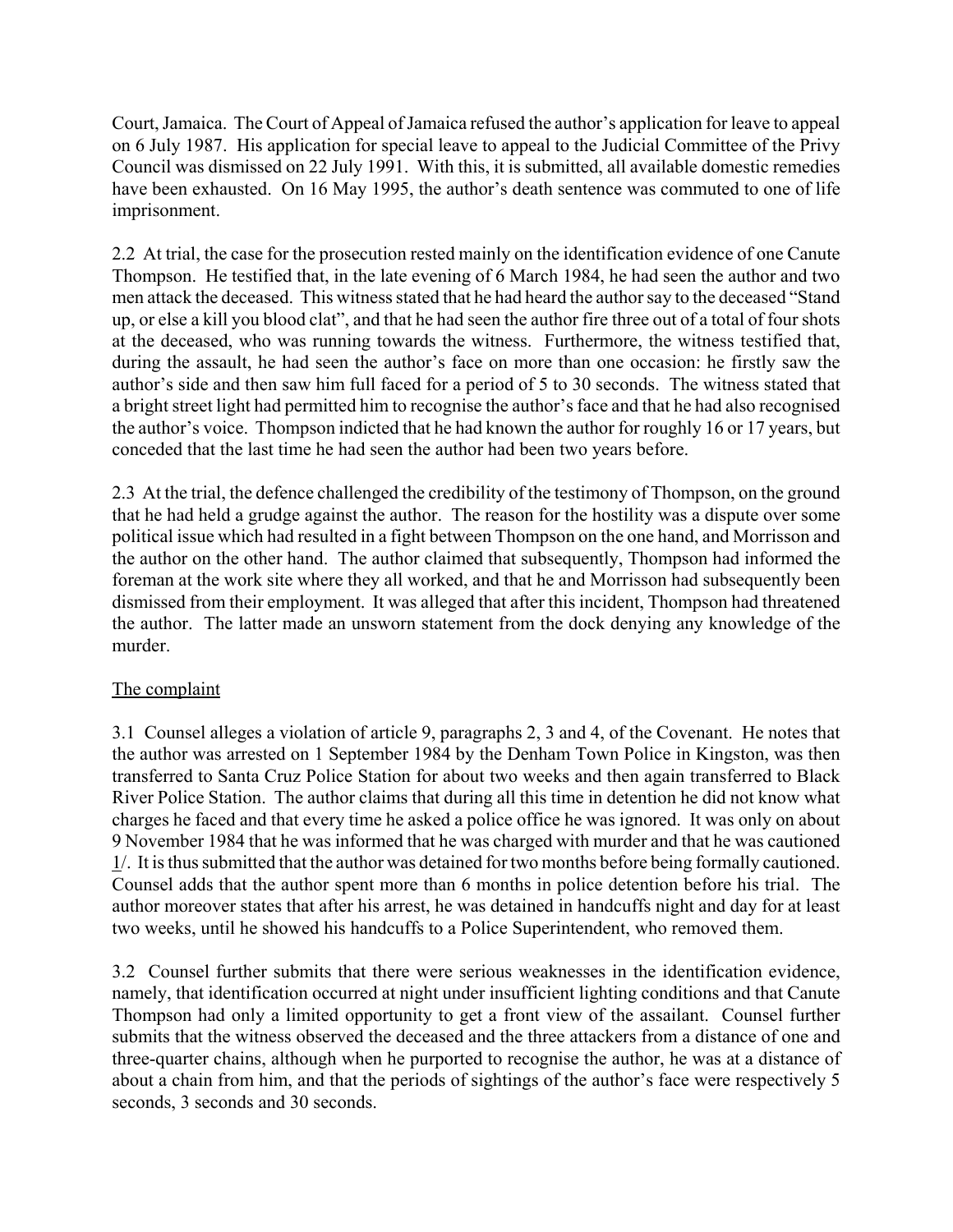Court, Jamaica. The Court of Appeal of Jamaica refused the author's application for leave to appeal on 6 July 1987. His application for special leave to appeal to the Judicial Committee of the Privy Council was dismissed on 22 July 1991. With this, it is submitted, all available domestic remedies have been exhausted. On 16 May 1995, the author's death sentence was commuted to one of life imprisonment.

2.2 At trial, the case for the prosecution rested mainly on the identification evidence of one Canute Thompson. He testified that, in the late evening of 6 March 1984, he had seen the author and two men attack the deceased. This witness stated that he had heard the author say to the deceased "Stand up, or else a kill you blood clat", and that he had seen the author fire three out of a total of four shots at the deceased, who was running towards the witness. Furthermore, the witness testified that, during the assault, he had seen the author's face on more than one occasion: he firstly saw the author's side and then saw him full faced for a period of 5 to 30 seconds. The witness stated that a bright street light had permitted him to recognise the author's face and that he had also recognised the author's voice. Thompson indicted that he had known the author for roughly 16 or 17 years, but conceded that the last time he had seen the author had been two years before.

2.3 At the trial, the defence challenged the credibility of the testimony of Thompson, on the ground that he had held a grudge against the author. The reason for the hostility was a dispute over some political issue which had resulted in a fight between Thompson on the one hand, and Morrisson and the author on the other hand. The author claimed that subsequently, Thompson had informed the foreman at the work site where they all worked, and that he and Morrisson had subsequently been dismissed from their employment. It was alleged that after this incident, Thompson had threatened the author. The latter made an unsworn statement from the dock denying any knowledge of the murder.

# The complaint

3.1 Counsel alleges a violation of article 9, paragraphs 2, 3 and 4, of the Covenant. He notes that the author was arrested on 1 September 1984 by the Denham Town Police in Kingston, was then transferred to Santa Cruz Police Station for about two weeks and then again transferred to Black River Police Station. The author claims that during all this time in detention he did not know what charges he faced and that every time he asked a police office he was ignored. It was only on about 9 November 1984 that he was informed that he was charged with murder and that he was cautioned 1/. It is thus submitted that the author was detained for two months before being formally cautioned. Counsel adds that the author spent more than 6 months in police detention before his trial. The author moreover states that after his arrest, he was detained in handcuffs night and day for at least two weeks, until he showed his handcuffs to a Police Superintendent, who removed them.

3.2 Counsel further submits that there were serious weaknesses in the identification evidence, namely, that identification occurred at night under insufficient lighting conditions and that Canute Thompson had only a limited opportunity to get a front view of the assailant. Counsel further submits that the witness observed the deceased and the three attackers from a distance of one and three-quarter chains, although when he purported to recognise the author, he was at a distance of about a chain from him, and that the periods of sightings of the author's face were respectively 5 seconds, 3 seconds and 30 seconds.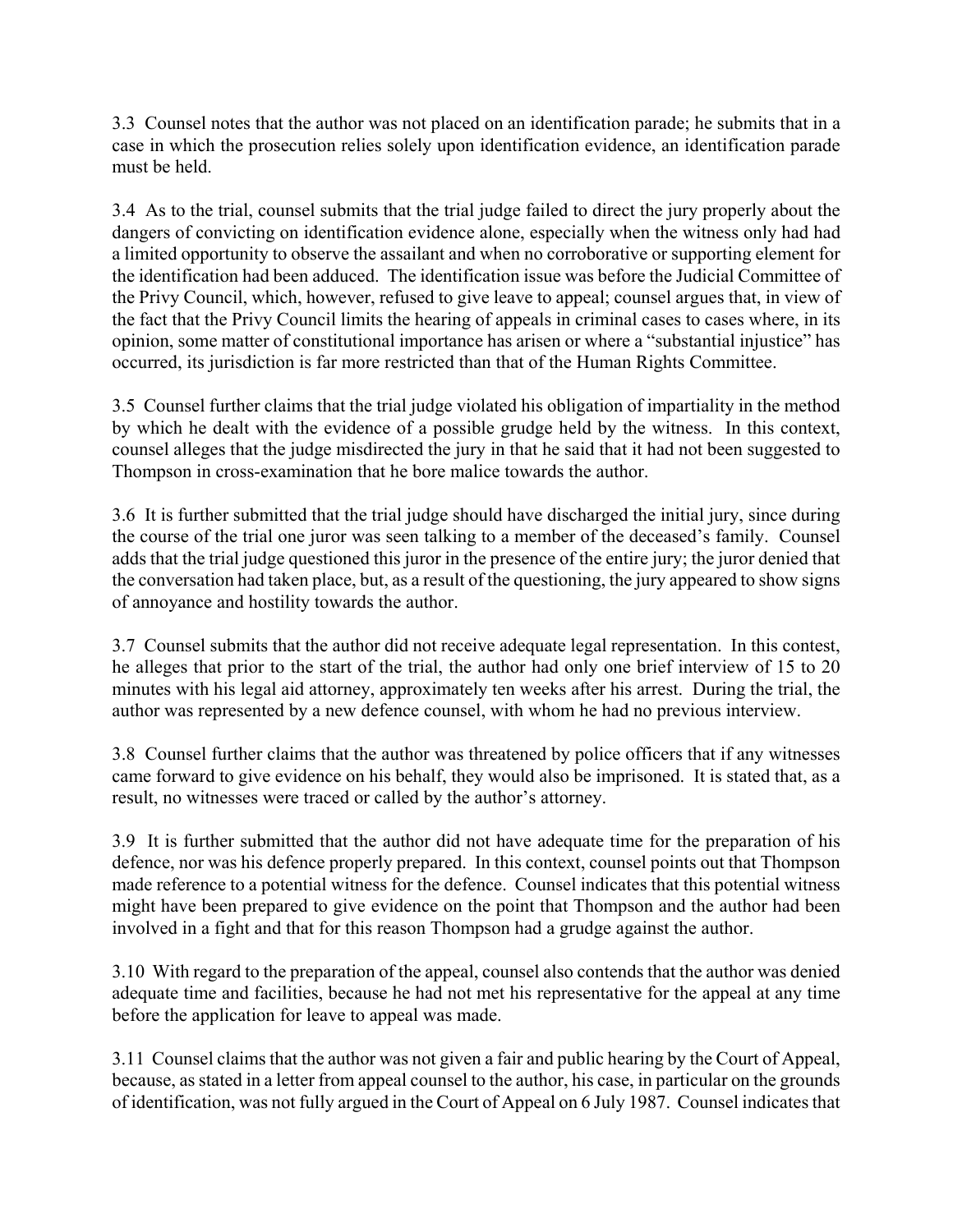3.3 Counsel notes that the author was not placed on an identification parade; he submits that in a case in which the prosecution relies solely upon identification evidence, an identification parade must be held.

3.4 As to the trial, counsel submits that the trial judge failed to direct the jury properly about the dangers of convicting on identification evidence alone, especially when the witness only had had a limited opportunity to observe the assailant and when no corroborative or supporting element for the identification had been adduced. The identification issue was before the Judicial Committee of the Privy Council, which, however, refused to give leave to appeal; counsel argues that, in view of the fact that the Privy Council limits the hearing of appeals in criminal cases to cases where, in its opinion, some matter of constitutional importance has arisen or where a "substantial injustice" has occurred, its jurisdiction is far more restricted than that of the Human Rights Committee.

3.5 Counsel further claims that the trial judge violated his obligation of impartiality in the method by which he dealt with the evidence of a possible grudge held by the witness. In this context, counsel alleges that the judge misdirected the jury in that he said that it had not been suggested to Thompson in cross-examination that he bore malice towards the author.

3.6 It is further submitted that the trial judge should have discharged the initial jury, since during the course of the trial one juror was seen talking to a member of the deceased's family. Counsel adds that the trial judge questioned this juror in the presence of the entire jury; the juror denied that the conversation had taken place, but, as a result of the questioning, the jury appeared to show signs of annoyance and hostility towards the author.

3.7 Counsel submits that the author did not receive adequate legal representation. In this contest, he alleges that prior to the start of the trial, the author had only one brief interview of 15 to 20 minutes with his legal aid attorney, approximately ten weeks after his arrest. During the trial, the author was represented by a new defence counsel, with whom he had no previous interview.

3.8 Counsel further claims that the author was threatened by police officers that if any witnesses came forward to give evidence on his behalf, they would also be imprisoned. It is stated that, as a result, no witnesses were traced or called by the author's attorney.

3.9 It is further submitted that the author did not have adequate time for the preparation of his defence, nor was his defence properly prepared. In this context, counsel points out that Thompson made reference to a potential witness for the defence. Counsel indicates that this potential witness might have been prepared to give evidence on the point that Thompson and the author had been involved in a fight and that for this reason Thompson had a grudge against the author.

3.10 With regard to the preparation of the appeal, counsel also contends that the author was denied adequate time and facilities, because he had not met his representative for the appeal at any time before the application for leave to appeal was made.

3.11 Counsel claims that the author was not given a fair and public hearing by the Court of Appeal, because, as stated in a letter from appeal counsel to the author, his case, in particular on the grounds of identification, was not fully argued in the Court of Appeal on 6 July 1987. Counsel indicates that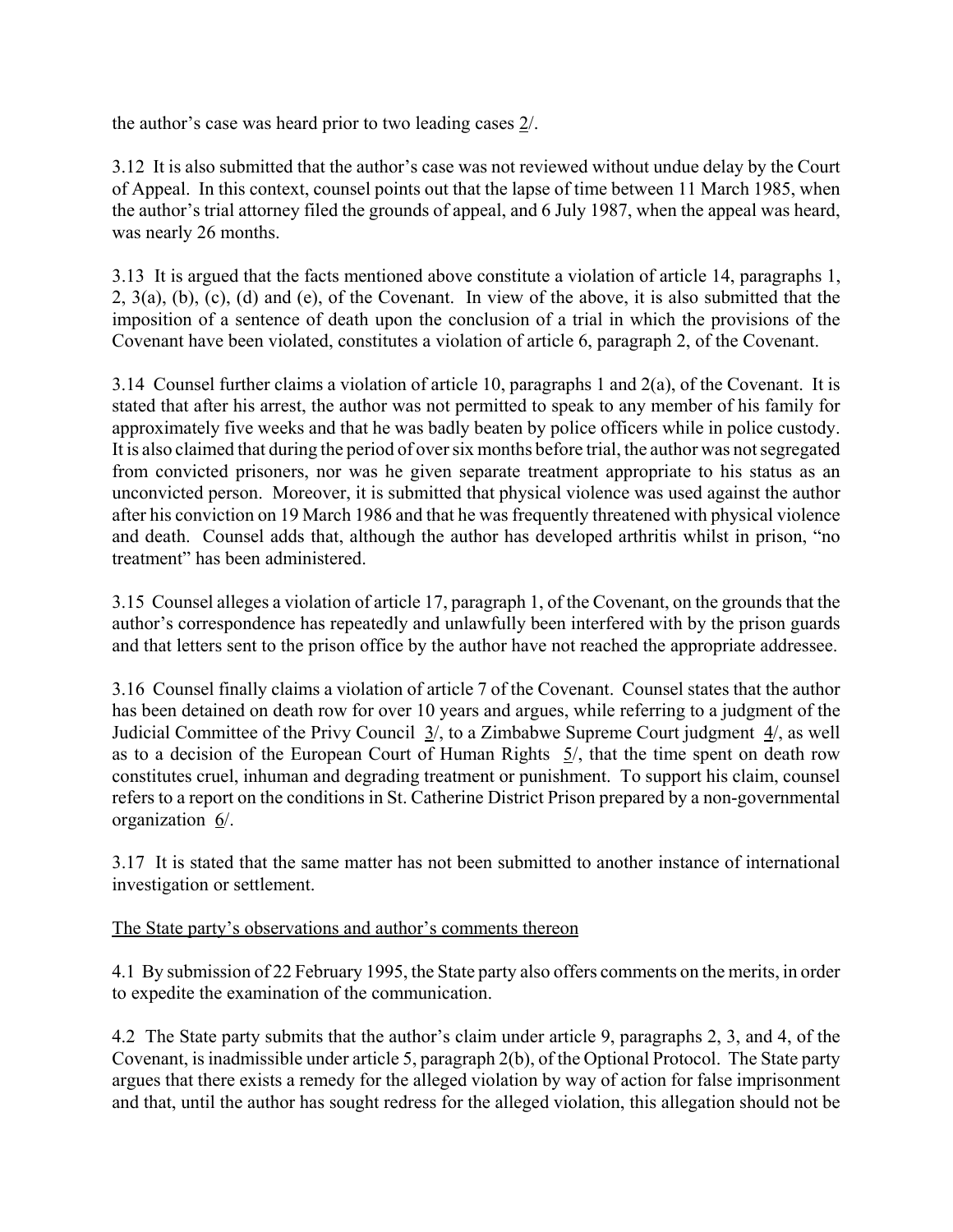the author's case was heard prior to two leading cases  $2/$ .

3.12 It is also submitted that the author's case was not reviewed without undue delay by the Court of Appeal. In this context, counsel points out that the lapse of time between 11 March 1985, when the author's trial attorney filed the grounds of appeal, and 6 July 1987, when the appeal was heard, was nearly 26 months.

3.13 It is argued that the facts mentioned above constitute a violation of article 14, paragraphs 1, 2, 3(a), (b), (c), (d) and (e), of the Covenant. In view of the above, it is also submitted that the imposition of a sentence of death upon the conclusion of a trial in which the provisions of the Covenant have been violated, constitutes a violation of article 6, paragraph 2, of the Covenant.

3.14 Counsel further claims a violation of article 10, paragraphs 1 and 2(a), of the Covenant. It is stated that after his arrest, the author was not permitted to speak to any member of his family for approximately five weeks and that he was badly beaten by police officers while in police custody. It is also claimed that during the period of over six months before trial, the author was not segregated from convicted prisoners, nor was he given separate treatment appropriate to his status as an unconvicted person. Moreover, it is submitted that physical violence was used against the author after his conviction on 19 March 1986 and that he was frequently threatened with physical violence and death. Counsel adds that, although the author has developed arthritis whilst in prison, "no treatment" has been administered.

3.15 Counsel alleges a violation of article 17, paragraph 1, of the Covenant, on the grounds that the author's correspondence has repeatedly and unlawfully been interfered with by the prison guards and that letters sent to the prison office by the author have not reached the appropriate addressee.

3.16 Counsel finally claims a violation of article 7 of the Covenant. Counsel states that the author has been detained on death row for over 10 years and argues, while referring to a judgment of the Judicial Committee of the Privy Council  $3/$ , to a Zimbabwe Supreme Court judgment  $4/$ , as well as to a decision of the European Court of Human Rights 5/, that the time spent on death row constitutes cruel, inhuman and degrading treatment or punishment. To support his claim, counsel refers to a report on the conditions in St. Catherine District Prison prepared by a non-governmental organization 6/.

3.17 It is stated that the same matter has not been submitted to another instance of international investigation or settlement.

# The State party's observations and author's comments thereon

4.1 By submission of 22 February 1995, the State party also offers comments on the merits, in order to expedite the examination of the communication.

4.2 The State party submits that the author's claim under article 9, paragraphs 2, 3, and 4, of the Covenant, is inadmissible under article 5, paragraph 2(b), of the Optional Protocol. The State party argues that there exists a remedy for the alleged violation by way of action for false imprisonment and that, until the author has sought redress for the alleged violation, this allegation should not be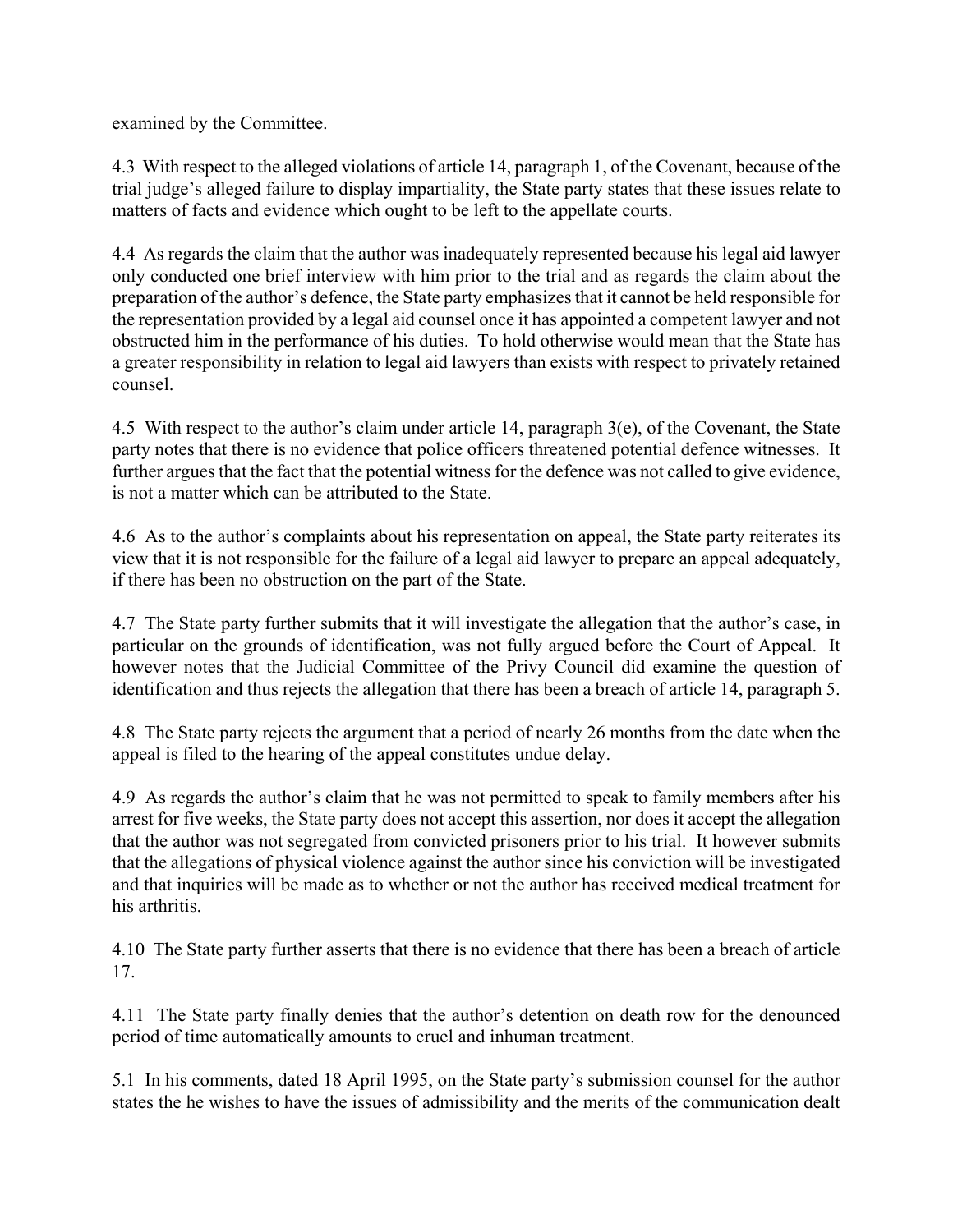examined by the Committee.

4.3 With respect to the alleged violations of article 14, paragraph 1, of the Covenant, because of the trial judge's alleged failure to display impartiality, the State party states that these issues relate to matters of facts and evidence which ought to be left to the appellate courts.

4.4 As regards the claim that the author was inadequately represented because his legal aid lawyer only conducted one brief interview with him prior to the trial and as regards the claim about the preparation of the author's defence, the State party emphasizes that it cannot be held responsible for the representation provided by a legal aid counsel once it has appointed a competent lawyer and not obstructed him in the performance of his duties. To hold otherwise would mean that the State has a greater responsibility in relation to legal aid lawyers than exists with respect to privately retained counsel.

4.5 With respect to the author's claim under article 14, paragraph  $3(e)$ , of the Covenant, the State party notes that there is no evidence that police officers threatened potential defence witnesses. It further argues that the fact that the potential witness for the defence was not called to give evidence, is not a matter which can be attributed to the State.

4.6 As to the author's complaints about his representation on appeal, the State party reiterates its view that it is not responsible for the failure of a legal aid lawyer to prepare an appeal adequately, if there has been no obstruction on the part of the State.

4.7 The State party further submits that it will investigate the allegation that the author's case, in particular on the grounds of identification, was not fully argued before the Court of Appeal. It however notes that the Judicial Committee of the Privy Council did examine the question of identification and thus rejects the allegation that there has been a breach of article 14, paragraph 5.

4.8 The State party rejects the argument that a period of nearly 26 months from the date when the appeal is filed to the hearing of the appeal constitutes undue delay.

4.9 As regards the author's claim that he was not permitted to speak to family members after his arrest for five weeks, the State party does not accept this assertion, nor does it accept the allegation that the author was not segregated from convicted prisoners prior to his trial. It however submits that the allegations of physical violence against the author since his conviction will be investigated and that inquiries will be made as to whether or not the author has received medical treatment for his arthritis.

4.10 The State party further asserts that there is no evidence that there has been a breach of article 17.

4.11 The State party finally denies that the author's detention on death row for the denounced period of time automatically amounts to cruel and inhuman treatment.

5.1 In his comments, dated 18 April 1995, on the State party's submission counsel for the author states the he wishes to have the issues of admissibility and the merits of the communication dealt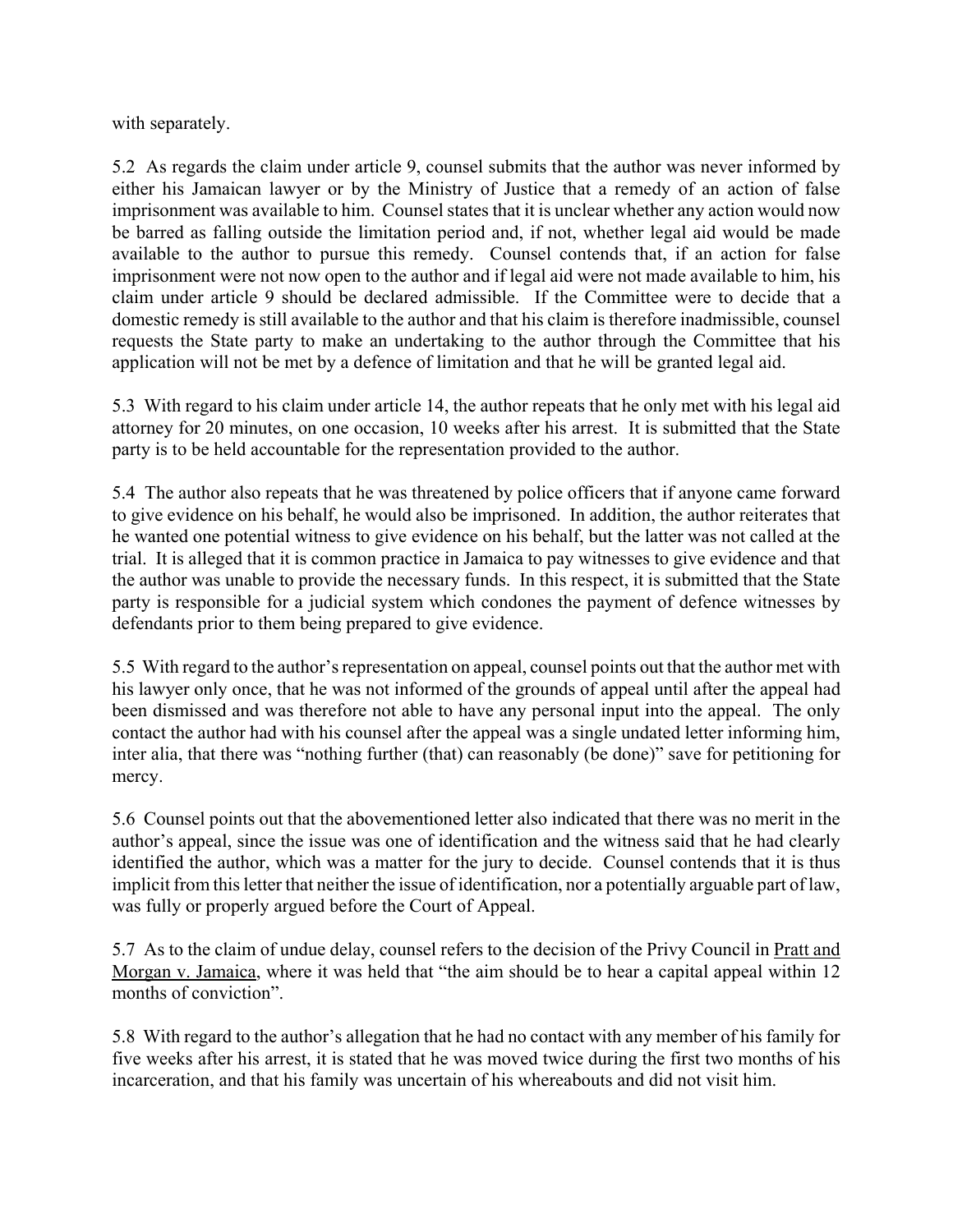with separately.

5.2 As regards the claim under article 9, counsel submits that the author was never informed by either his Jamaican lawyer or by the Ministry of Justice that a remedy of an action of false imprisonment was available to him. Counsel states that it is unclear whether any action would now be barred as falling outside the limitation period and, if not, whether legal aid would be made available to the author to pursue this remedy. Counsel contends that, if an action for false imprisonment were not now open to the author and if legal aid were not made available to him, his claim under article 9 should be declared admissible. If the Committee were to decide that a domestic remedy is still available to the author and that his claim is therefore inadmissible, counsel requests the State party to make an undertaking to the author through the Committee that his application will not be met by a defence of limitation and that he will be granted legal aid.

5.3 With regard to his claim under article 14, the author repeats that he only met with his legal aid attorney for 20 minutes, on one occasion, 10 weeks after his arrest. It is submitted that the State party is to be held accountable for the representation provided to the author.

5.4 The author also repeats that he was threatened by police officers that if anyone came forward to give evidence on his behalf, he would also be imprisoned. In addition, the author reiterates that he wanted one potential witness to give evidence on his behalf, but the latter was not called at the trial. It is alleged that it is common practice in Jamaica to pay witnesses to give evidence and that the author was unable to provide the necessary funds. In this respect, it is submitted that the State party is responsible for a judicial system which condones the payment of defence witnesses by defendants prior to them being prepared to give evidence.

5.5 With regard to the author's representation on appeal, counsel points out that the author met with his lawyer only once, that he was not informed of the grounds of appeal until after the appeal had been dismissed and was therefore not able to have any personal input into the appeal. The only contact the author had with his counsel after the appeal was a single undated letter informing him, inter alia, that there was "nothing further (that) can reasonably (be done)" save for petitioning for mercy.

5.6 Counsel points out that the abovementioned letter also indicated that there was no merit in the author's appeal, since the issue was one of identification and the witness said that he had clearly identified the author, which was a matter for the jury to decide. Counsel contends that it is thus implicit from this letter that neither the issue of identification, nor a potentially arguable part of law, was fully or properly argued before the Court of Appeal.

5.7 As to the claim of undue delay, counsel refers to the decision of the Privy Council in Pratt and Morgan v. Jamaica, where it was held that "the aim should be to hear a capital appeal within 12 months of conviction".

5.8 With regard to the author's allegation that he had no contact with any member of his family for five weeks after his arrest, it is stated that he was moved twice during the first two months of his incarceration, and that his family was uncertain of his whereabouts and did not visit him.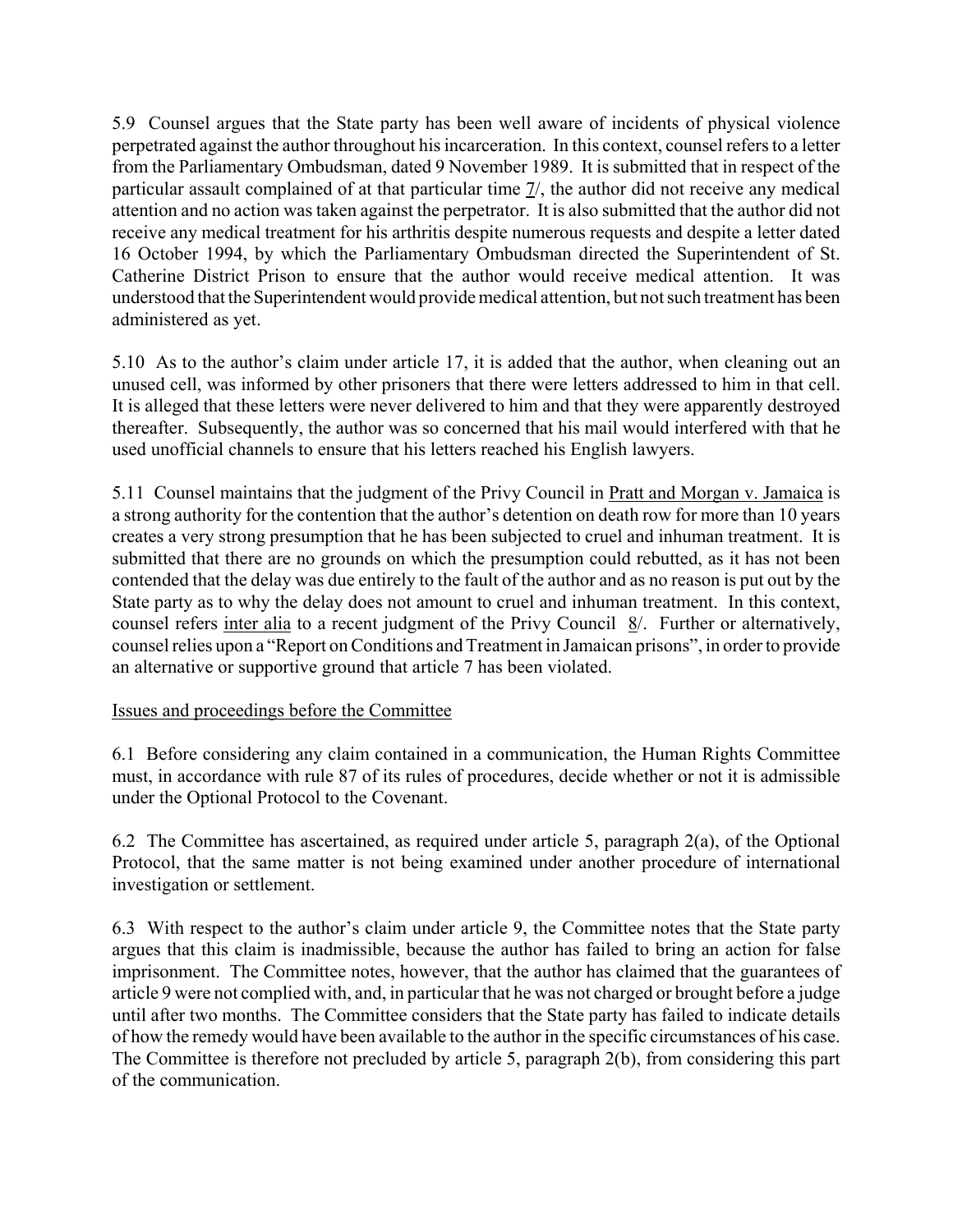5.9 Counsel argues that the State party has been well aware of incidents of physical violence perpetrated against the author throughout his incarceration. In this context, counsel refers to a letter from the Parliamentary Ombudsman, dated 9 November 1989. It is submitted that in respect of the particular assault complained of at that particular time 7/, the author did not receive any medical attention and no action was taken against the perpetrator. It is also submitted that the author did not receive any medical treatment for his arthritis despite numerous requests and despite a letter dated 16 October 1994, by which the Parliamentary Ombudsman directed the Superintendent of St. Catherine District Prison to ensure that the author would receive medical attention. It was understood that the Superintendent would provide medical attention, but not such treatment has been administered as yet.

5.10 As to the author's claim under article 17, it is added that the author, when cleaning out an unused cell, was informed by other prisoners that there were letters addressed to him in that cell. It is alleged that these letters were never delivered to him and that they were apparently destroyed thereafter. Subsequently, the author was so concerned that his mail would interfered with that he used unofficial channels to ensure that his letters reached his English lawyers.

5.11 Counsel maintains that the judgment of the Privy Council in Pratt and Morgan v. Jamaica is a strong authority for the contention that the author's detention on death row for more than 10 years creates a very strong presumption that he has been subjected to cruel and inhuman treatment. It is submitted that there are no grounds on which the presumption could rebutted, as it has not been contended that the delay was due entirely to the fault of the author and as no reason is put out by the State party as to why the delay does not amount to cruel and inhuman treatment. In this context, counsel refers inter alia to a recent judgment of the Privy Council 8/. Further or alternatively, counsel relies upon a "Report on Conditions and Treatment in Jamaican prisons", in order to provide an alternative or supportive ground that article 7 has been violated.

# Issues and proceedings before the Committee

6.1 Before considering any claim contained in a communication, the Human Rights Committee must, in accordance with rule 87 of its rules of procedures, decide whether or not it is admissible under the Optional Protocol to the Covenant.

6.2 The Committee has ascertained, as required under article 5, paragraph 2(a), of the Optional Protocol, that the same matter is not being examined under another procedure of international investigation or settlement.

6.3 With respect to the author's claim under article 9, the Committee notes that the State party argues that this claim is inadmissible, because the author has failed to bring an action for false imprisonment. The Committee notes, however, that the author has claimed that the guarantees of article 9 were not complied with, and, in particular that he was not charged or brought before a judge until after two months. The Committee considers that the State party has failed to indicate details of how the remedy would have been available to the author in the specific circumstances of his case. The Committee is therefore not precluded by article 5, paragraph 2(b), from considering this part of the communication.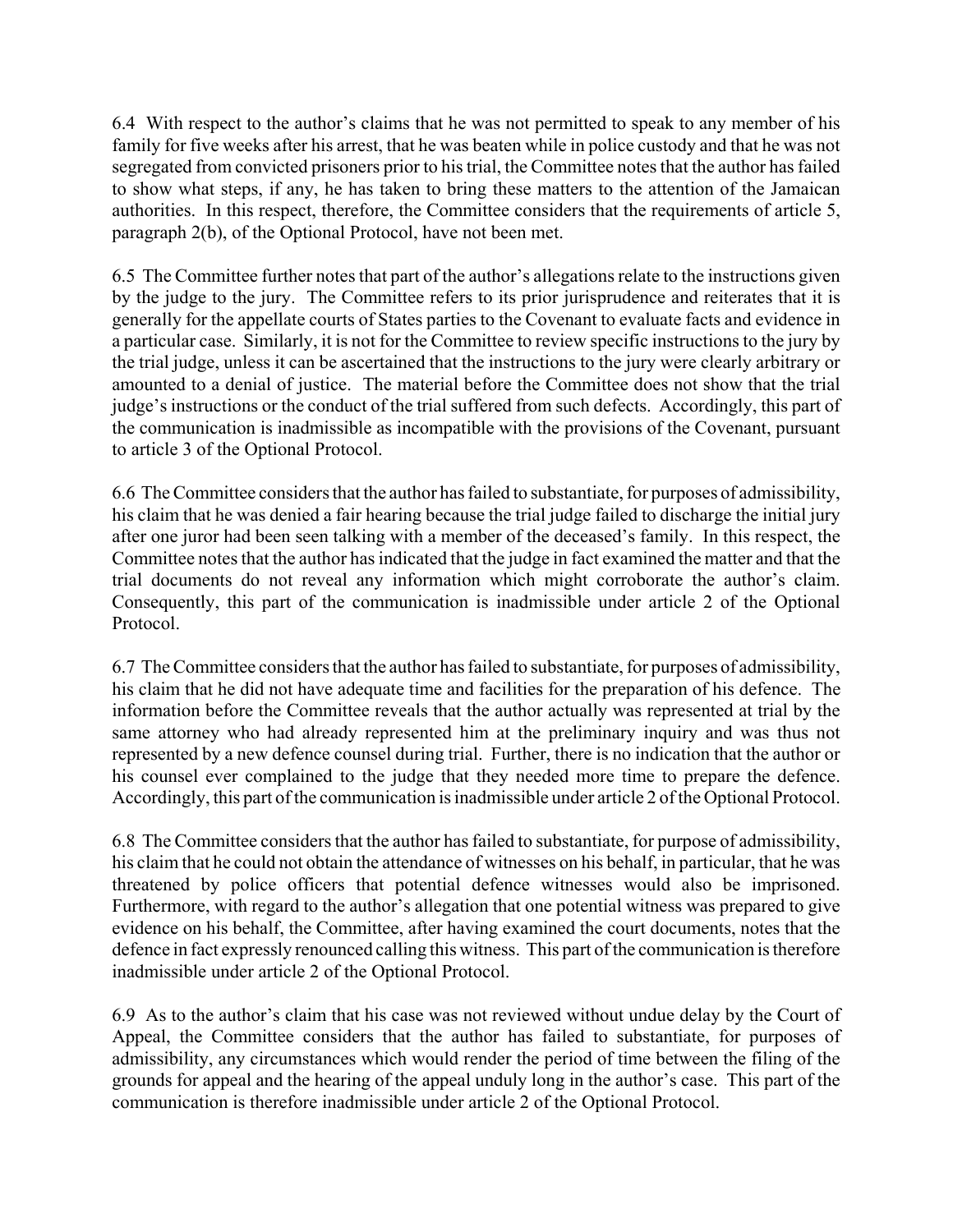6.4 With respect to the author's claims that he was not permitted to speak to any member of his family for five weeks after his arrest, that he was beaten while in police custody and that he was not segregated from convicted prisoners prior to his trial, the Committee notes that the author has failed to show what steps, if any, he has taken to bring these matters to the attention of the Jamaican authorities. In this respect, therefore, the Committee considers that the requirements of article 5, paragraph 2(b), of the Optional Protocol, have not been met.

6.5 The Committee further notes that part of the author's allegations relate to the instructions given by the judge to the jury. The Committee refers to its prior jurisprudence and reiterates that it is generally for the appellate courts of States parties to the Covenant to evaluate facts and evidence in a particular case. Similarly, it is not for the Committee to review specific instructions to the jury by the trial judge, unless it can be ascertained that the instructions to the jury were clearly arbitrary or amounted to a denial of justice. The material before the Committee does not show that the trial judge's instructions or the conduct of the trial suffered from such defects. Accordingly, this part of the communication is inadmissible as incompatible with the provisions of the Covenant, pursuant to article 3 of the Optional Protocol.

6.6 The Committee considers that the author has failed to substantiate, for purposes of admissibility, his claim that he was denied a fair hearing because the trial judge failed to discharge the initial jury after one juror had been seen talking with a member of the deceased's family. In this respect, the Committee notes that the author has indicated that the judge in fact examined the matter and that the trial documents do not reveal any information which might corroborate the author's claim. Consequently, this part of the communication is inadmissible under article 2 of the Optional Protocol.

6.7 The Committee considers that the author has failed to substantiate, for purposes of admissibility, his claim that he did not have adequate time and facilities for the preparation of his defence. The information before the Committee reveals that the author actually was represented at trial by the same attorney who had already represented him at the preliminary inquiry and was thus not represented by a new defence counsel during trial. Further, there is no indication that the author or his counsel ever complained to the judge that they needed more time to prepare the defence. Accordingly, this part of the communication is inadmissible under article 2 of the Optional Protocol.

6.8 The Committee considers that the author has failed to substantiate, for purpose of admissibility, his claim that he could not obtain the attendance of witnesses on his behalf, in particular, that he was threatened by police officers that potential defence witnesses would also be imprisoned. Furthermore, with regard to the author's allegation that one potential witness was prepared to give evidence on his behalf, the Committee, after having examined the court documents, notes that the defence in fact expressly renounced calling this witness. This part of the communication is therefore inadmissible under article 2 of the Optional Protocol.

6.9 As to the author's claim that his case was not reviewed without undue delay by the Court of Appeal, the Committee considers that the author has failed to substantiate, for purposes of admissibility, any circumstances which would render the period of time between the filing of the grounds for appeal and the hearing of the appeal unduly long in the author's case. This part of the communication is therefore inadmissible under article 2 of the Optional Protocol.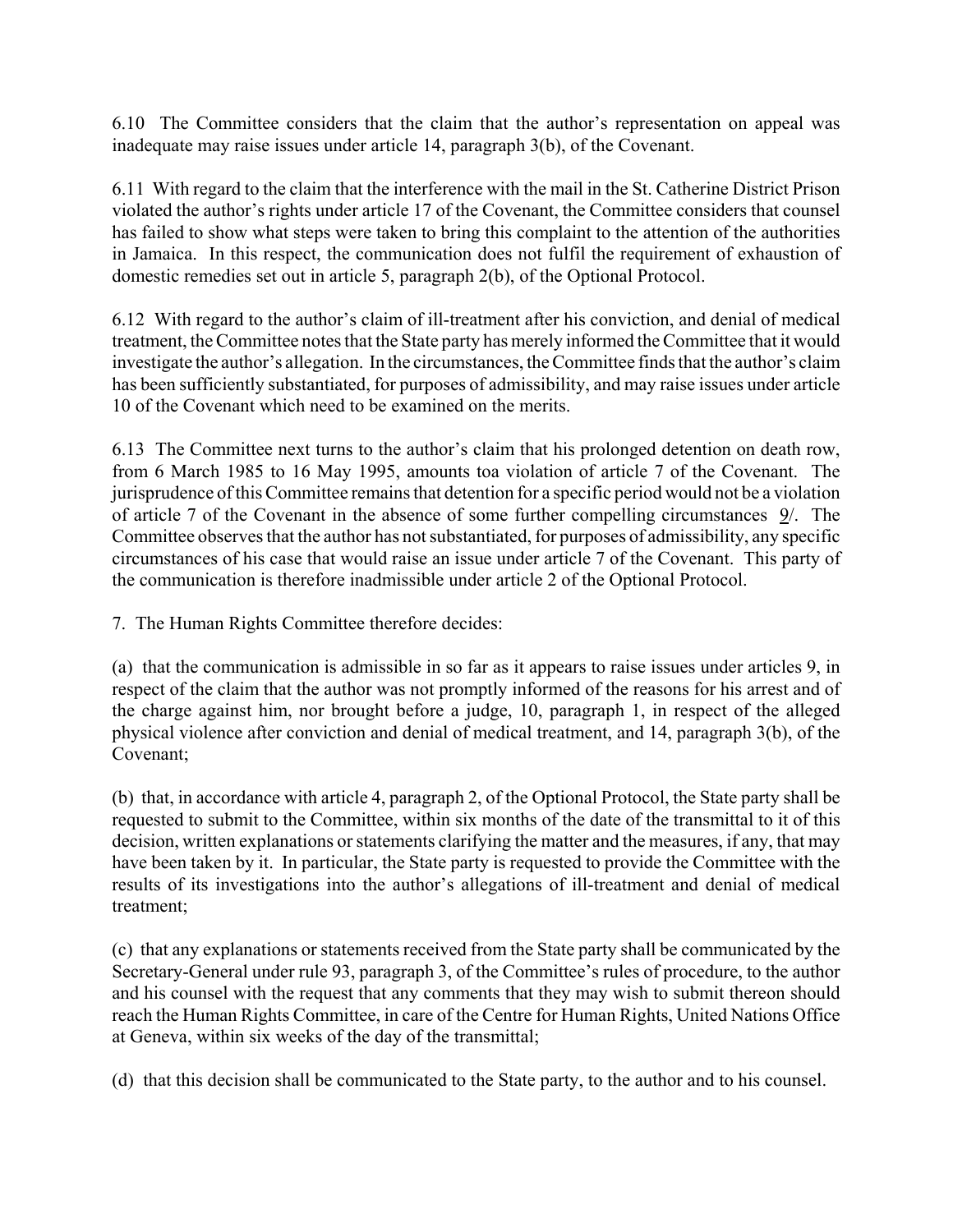6.10 The Committee considers that the claim that the author's representation on appeal was inadequate may raise issues under article 14, paragraph 3(b), of the Covenant.

6.11 With regard to the claim that the interference with the mail in the St. Catherine District Prison violated the author's rights under article 17 of the Covenant, the Committee considers that counsel has failed to show what steps were taken to bring this complaint to the attention of the authorities in Jamaica. In this respect, the communication does not fulfil the requirement of exhaustion of domestic remedies set out in article 5, paragraph 2(b), of the Optional Protocol.

6.12 With regard to the author's claim of ill-treatment after his conviction, and denial of medical treatment, the Committee notes that the State party has merely informed the Committee that it would investigate the author's allegation. In the circumstances, the Committee finds that the author's claim has been sufficiently substantiated, for purposes of admissibility, and may raise issues under article 10 of the Covenant which need to be examined on the merits.

6.13 The Committee next turns to the author's claim that his prolonged detention on death row, from 6 March 1985 to 16 May 1995, amounts toa violation of article 7 of the Covenant. The jurisprudence of this Committee remains that detention for a specific period would not be a violation of article 7 of the Covenant in the absence of some further compelling circumstances 9/. The Committee observes that the author has not substantiated, for purposes of admissibility, any specific circumstances of his case that would raise an issue under article 7 of the Covenant. This party of the communication is therefore inadmissible under article 2 of the Optional Protocol.

7. The Human Rights Committee therefore decides:

(a) that the communication is admissible in so far as it appears to raise issues under articles 9, in respect of the claim that the author was not promptly informed of the reasons for his arrest and of the charge against him, nor brought before a judge, 10, paragraph 1, in respect of the alleged physical violence after conviction and denial of medical treatment, and 14, paragraph 3(b), of the Covenant;

(b) that, in accordance with article 4, paragraph 2, of the Optional Protocol, the State party shall be requested to submit to the Committee, within six months of the date of the transmittal to it of this decision, written explanations or statements clarifying the matter and the measures, if any, that may have been taken by it. In particular, the State party is requested to provide the Committee with the results of its investigations into the author's allegations of ill-treatment and denial of medical treatment;

(c) that any explanations or statements received from the State party shall be communicated by the Secretary-General under rule 93, paragraph 3, of the Committee's rules of procedure, to the author and his counsel with the request that any comments that they may wish to submit thereon should reach the Human Rights Committee, in care of the Centre for Human Rights, United Nations Office at Geneva, within six weeks of the day of the transmittal;

(d) that this decision shall be communicated to the State party, to the author and to his counsel.